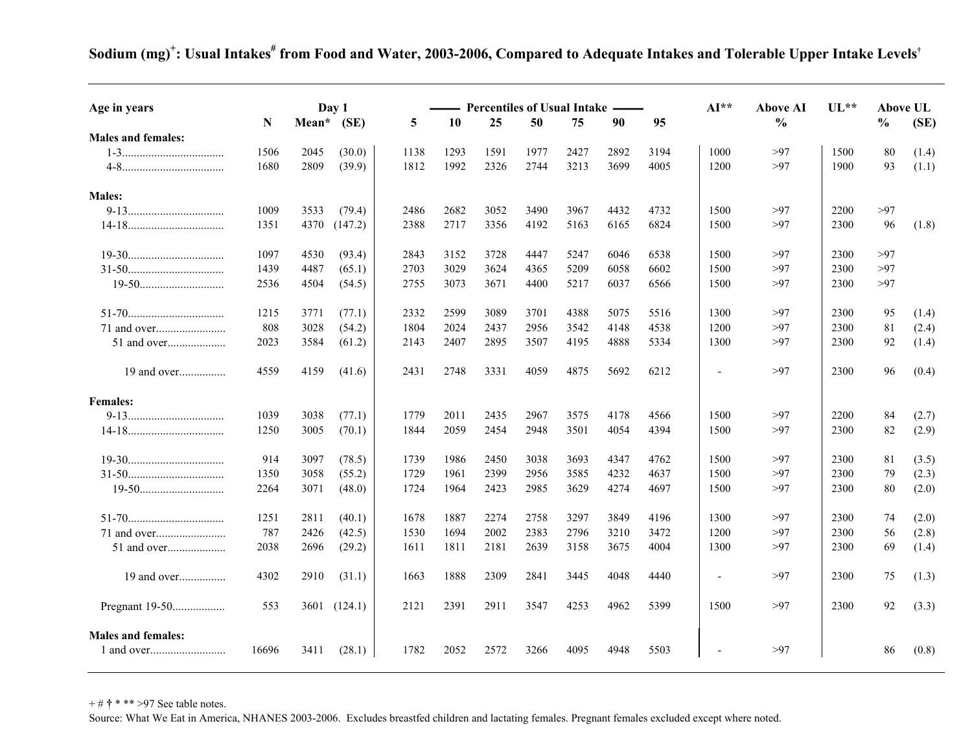Sodium (mg)<sup>+</sup>: Usual Intakes<sup>#</sup> from Food and Water, 2003-2006, Compared to Adequate Intakes and Tolerable Upper Intake Levels<sup>†</sup>

| Age in years                 |       | Day 1<br>Mean* |         |      | Percentiles of Usual Intake -<br>50<br>90 |      |      |      |      | 95   | ${\bf Al}^{**}$ | Above AI<br>$\frac{0}{0}$ | $UL**$ | <b>Above UL</b><br>$\frac{0}{0}$ |       |
|------------------------------|-------|----------------|---------|------|-------------------------------------------|------|------|------|------|------|-----------------|---------------------------|--------|----------------------------------|-------|
| <b>Males and females:</b>    | N     |                | (SE)    | 5    | 10                                        | 25   |      | 75   |      |      |                 |                           |        |                                  | (SE)  |
|                              | 1506  | 2045           | (30.0)  | 1138 | 1293                                      | 1591 | 1977 | 2427 | 2892 | 3194 | 1000            | >97                       | 1500   | 80                               | (1.4) |
|                              | 1680  | 2809           | (39.9)  | 1812 | 1992                                      | 2326 | 2744 | 3213 | 3699 | 4005 | 1200            | >97                       | 1900   | 93                               | (1.1) |
|                              |       |                |         |      |                                           |      |      |      |      |      |                 |                           |        |                                  |       |
| <b>Males:</b>                |       |                |         |      |                                           |      |      |      |      |      |                 |                           |        |                                  |       |
|                              | 1009  | 3533           | (79.4)  | 2486 | 2682                                      | 3052 | 3490 | 3967 | 4432 | 4732 | 1500            | >97                       | 2200   | >97                              |       |
| $14-18. \rule{0.2cm}{0.2cm}$ | 1351  | 4370           | (147.2) | 2388 | 2717                                      | 3356 | 4192 | 5163 | 6165 | 6824 | 1500            | >97                       | 2300   | 96                               | (1.8) |
|                              | 1097  | 4530           | (93.4)  | 2843 | 3152                                      | 3728 | 4447 | 5247 | 6046 | 6538 | 1500            | >97                       | 2300   | >97                              |       |
|                              | 1439  | 4487           | (65.1)  | 2703 | 3029                                      | 3624 | 4365 | 5209 | 6058 | 6602 | 1500            | >97                       | 2300   | >97                              |       |
|                              | 2536  | 4504           | (54.5)  | 2755 | 3073                                      | 3671 | 4400 | 5217 | 6037 | 6566 | 1500            | >97                       | 2300   | >97                              |       |
|                              | 1215  | 3771           | (77.1)  | 2332 | 2599                                      | 3089 | 3701 | 4388 | 5075 | 5516 | 1300            | >97                       | 2300   | 95                               | (1.4) |
|                              | 808   | 3028           | (54.2)  | 1804 | 2024                                      | 2437 | 2956 | 3542 | 4148 | 4538 | 1200            | >97                       | 2300   | 81                               | (2.4) |
| 51 and over                  | 2023  | 3584           | (61.2)  | 2143 | 2407                                      | 2895 | 3507 | 4195 | 4888 | 5334 | 1300            | >97                       | 2300   | 92                               | (1.4) |
|                              |       |                |         |      |                                           |      |      |      |      |      |                 |                           |        |                                  |       |
| 19 and over                  | 4559  | 4159           | (41.6)  | 2431 | 2748                                      | 3331 | 4059 | 4875 | 5692 | 6212 | $\blacksquare$  | >97                       | 2300   | 96                               | (0.4) |
| <b>Females:</b>              |       |                |         |      |                                           |      |      |      |      |      |                 |                           |        |                                  |       |
|                              | 1039  | 3038           | (77.1)  | 1779 | 2011                                      | 2435 | 2967 | 3575 | 4178 | 4566 | 1500            | >97                       | 2200   | 84                               | (2.7) |
|                              | 1250  | 3005           | (70.1)  | 1844 | 2059                                      | 2454 | 2948 | 3501 | 4054 | 4394 | 1500            | >97                       | 2300   | 82                               | (2.9) |
|                              | 914   | 3097           | (78.5)  | 1739 | 1986                                      | 2450 | 3038 | 3693 | 4347 | 4762 | 1500            | >97                       | 2300   | 81                               | (3.5) |
|                              | 1350  | 3058           | (55.2)  | 1729 | 1961                                      | 2399 | 2956 | 3585 | 4232 | 4637 | 1500            | >97                       | 2300   | 79                               | (2.3) |
|                              | 2264  | 3071           | (48.0)  | 1724 | 1964                                      | 2423 | 2985 | 3629 | 4274 | 4697 | 1500            | >97                       | 2300   | 80                               | (2.0) |
|                              | 1251  | 2811           | (40.1)  | 1678 | 1887                                      | 2274 | 2758 | 3297 | 3849 | 4196 | 1300            | >97                       | 2300   | 74                               | (2.0) |
|                              | 787   | 2426           | (42.5)  | 1530 | 1694                                      | 2002 | 2383 | 2796 | 3210 | 3472 | 1200            | >97                       | 2300   | 56                               | (2.8) |
| 51 and over                  | 2038  | 2696           | (29.2)  | 1611 | 1811                                      | 2181 | 2639 | 3158 | 3675 | 4004 | 1300            | >97                       | 2300   | 69                               | (1.4) |
| 19 and over                  | 4302  | 2910           | (31.1)  | 1663 | 1888                                      | 2309 | 2841 | 3445 | 4048 | 4440 | $\overline{a}$  | >97                       | 2300   | 75                               | (1.3) |
| Pregnant 19-50               | 553   | 3601           | (124.1) | 2121 | 2391                                      | 2911 | 3547 | 4253 | 4962 | 5399 | 1500            | >97                       | 2300   | 92                               | (3.3) |
|                              |       |                |         |      |                                           |      |      |      |      |      |                 |                           |        |                                  |       |
| <b>Males and females:</b>    |       |                |         |      |                                           |      |      |      |      |      |                 |                           |        |                                  |       |
|                              | 16696 | 3411           | (28.1)  | 1782 | 2052                                      | 2572 | 3266 | 4095 | 4948 | 5503 |                 | >97                       |        | 86                               | (0.8) |

+ # **†** \* \*\* >97 See table notes.

Source: What We Eat in America, NHANES 2003-2006. Excludes breastfed children and lactating females. Pregnant females excluded except where noted.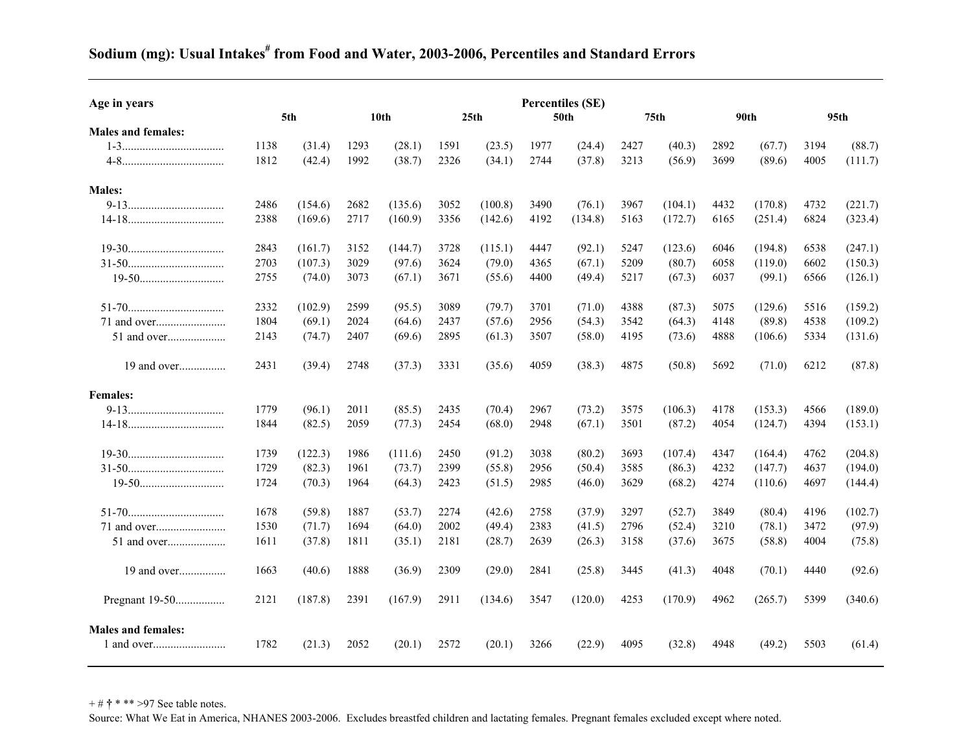## **Age in years Percentiles (SE) 5th 10th 25th 50th 75th 90th 95th Males and females:**  1-3................................... 1138 (31.4) 1293 (28.1) 1591 (23.5) 1977 (24.4) 2427 (40.3) 2892 (67.7) 3194 (88.7) 4-8................................... 1812 (42.4) 1992 (38.7) 2326 (34.1) 2744 (37.8) 3213 (56.9) 3699 (89.6) 4005 (111.7) **Males:**  9-13................................. 2486 (154.6) 2682 (135.6) 3052 (100.8) 3490 (76.1) 3967 (104.1) 4432 (170.8) 4732 (221.7) 14-18................................. 2388 (169.6) 2717 (160.9) 3356 (142.6) 4192 (134.8) 5163 (172.7) 6165 (251.4) 6824 (323.4) 19-30................................. 2843 (161.7) 3152 (144.7) 3728 (115.1) 4447 (92.1) 5247 (123.6) 6046 (194.8) 6538 (247.1) 31-50................................. 2703 (107.3) 3029 (97.6) 3624 (79.0) 4365 (67.1) 5209 (80.7) 6058 (119.0) 6602 (150.3) 19-50............................. 2755 (74.0) 3073 (67.1) 3671 (55.6) 4400 (49.4) 5217 (67.3) 6037 (99.1) 6566 (126.1) 51-70................................. 2332 (102.9) 2599 (95.5) 3089 (79.7) 3701 (71.0) 4388 (87.3) 5075 (129.6) 5516 (159.2) 71 and over........................ 1804 (69.1) 2024 (64.6) 2437 (57.6) 2956 (54.3) 3542 (64.3) 4148 (89.8) 4538 (109.2) 51 and over.................... 2143 (74.7) 2407 (69.6) 2895 (61.3) 3507 (58.0) 4195 (73.6) 4888 (106.6) 5334 (131.6) 19 and over................ 2431 (39.4) 2748 (37.3) 3331 (35.6) 4059 (38.3) 4875 (50.8) 5692 (71.0) 6212 (87.8) **Females:**  9-13................................. 1779 (96.1) 2011 (85.5) 2435 (70.4) 2967 (73.2) 3575 (106.3) 4178 (153.3) 4566 (189.0) 14-18................................. 1844 (82.5) 2059 (77.3) 2454 (68.0) 2948 (67.1) 3501 (87.2) 4054 (124.7) 4394 (153.1) 19-30................................. 1739 (122.3) 1986 (111.6) 2450 (91.2) 3038 (80.2) 3693 (107.4) 4347 (164.4) 4762 (204.8) 31-50................................. 1729 (82.3) 1961 (73.7) 2399 (55.8) 2956 (50.4) 3585 (86.3) 4232 (147.7) 4637 (194.0) 19-50............................. 1724 (70.3) 1964 (64.3) 2423 (51.5) 2985 (46.0) 3629 (68.2) 4274 (110.6) 4697 (144.4) 51-70................................. 1678 (59.8) 1887 (53.7) 2274 (42.6) 2758 (37.9) 3297 (52.7) 3849 (80.4) 4196 (102.7) 71 and over........................ 1530 (71.7) 1694 (64.0) 2002 (49.4) 2383 (41.5) 2796 (52.4) 3210 (78.1) 3472 (97.9) 51 and over.................... 1611 (37.8) 1811 (35.1) 2181 (28.7) 2639 (26.3) 3158 (37.6) 3675 (58.8) 4004 (75.8) 19 and over................ 1663 (40.6) 1888 (36.9) 2309 (29.0) 2841 (25.8) 3445 (41.3) 4048 (70.1) 4440 (92.6) Pregnant 19-50................. 2121 (187.8) 2391 (167.9) 2911 (134.6) 3547 (120.0) 4253 (170.9) 4962 (265.7) 5399 (340.6) **Males and females:**  1 and over.........................1782 (21.3) 2052 (20.1) 2572 (20.1) 3266 (22.9) 4095 (32.8) 4948 (49.2) 5503 (61.4)

## **Sodium (mg): Usual Intakes# from Food and Water, 2003-2006, Percentiles and Standard Errors**

+ # **†** \* \*\* >97 See table notes.

Source: What We Eat in America, NHANES 2003-2006. Excludes breastfed children and lactating females. Pregnant females excluded except where noted.